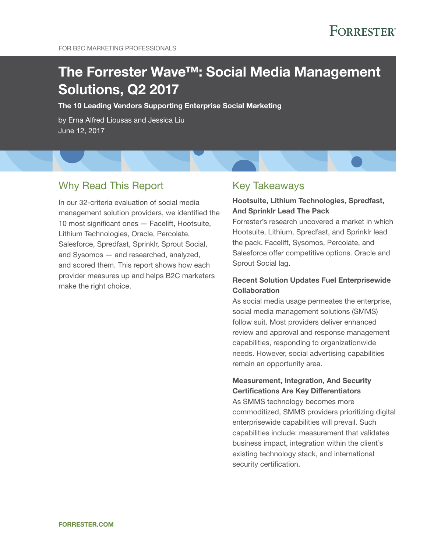# The Forrester Wave™: Social Media Management Solutions, Q2 2017

The 10 Leading Vendors Supporting Enterprise Social Marketing

by Erna Alfred Liousas and Jessica Liu June 12, 2017

### Why Read This Report

In our 32-criteria evaluation of social media management solution providers, we identified the 10 most significant ones — Facelift, Hootsuite, Lithium Technologies, Oracle, Percolate, Salesforce, Spredfast, Sprinklr, Sprout Social, and Sysomos — and researched, analyzed, and scored them. This report shows how each provider measures up and helps B2C marketers make the right choice.

### Key Takeaways

### Hootsuite, Lithium Technologies, Spredfast, And Sprinklr Lead The Pack

Forrester's research uncovered a market in which Hootsuite, Lithium, Spredfast, and Sprinklr lead the pack. Facelift, Sysomos, Percolate, and Salesforce offer competitive options. Oracle and Sprout Social lag.

### Recent Solution Updates Fuel Enterprisewide Collaboration

As social media usage permeates the enterprise, social media management solutions (SMMS) follow suit. Most providers deliver enhanced review and approval and response management capabilities, responding to organizationwide needs. However, social advertising capabilities remain an opportunity area.

### Measurement, Integration, And Security Certifications Are Key Differentiators

As SMMS technology becomes more commoditized, SMMS providers prioritizing digital enterprisewide capabilities will prevail. Such capabilities include: measurement that validates business impact, integration within the client's existing technology stack, and international security certification.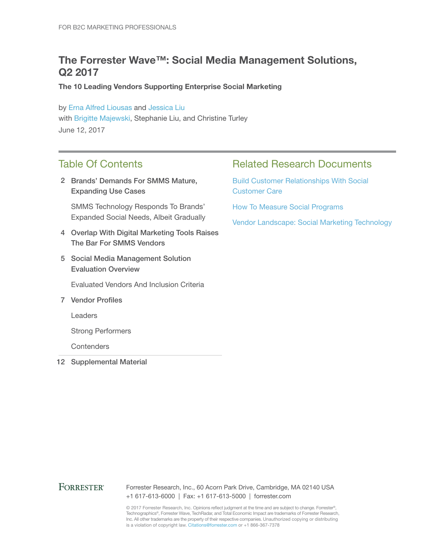## The Forrester Wave™: Social Media Management Solutions, Q2 2017

The 10 Leading Vendors Supporting Enterprise Social Marketing

by [Erna Alfred Liousas](http://www.forrester.com/go?objectid=BIO8844) and [Jessica Liu](http://www.forrester.com/go?objectid=BIO10824) with [Brigitte Majewski,](http://www.forrester.com/go?objectid=BIO9844) Stephanie Liu, and Christine Turley June 12, 2017

## Table Of Contents

2 Brands' Demands For SMMS Mature, Expanding Use Cases

SMMS Technology Responds To Brands' Expanded Social Needs, Albeit Gradually

- Overlap With Digital Marketing Tools Raises 4 The Bar For SMMS Vendors
- 5 Social Media Management Solution Evaluation Overview

Evaluated Vendors And Inclusion Criteria

7 Vendor Profiles

Leaders

Strong Performers

**Contenders** 

12 Supplemental Material

## Related Research Documents

[Build Customer Relationships With Social](http://www.forrester.com/go?objectid=RES120905)  [Customer Care](http://www.forrester.com/go?objectid=RES120905)

[How To Measure Social Programs](http://www.forrester.com/go?objectid=RES133590)

[Vendor Landscape: Social Marketing Technology](http://www.forrester.com/go?objectid=RES133605) 

### **FORRESTER®**

Forrester Research, Inc., 60 Acorn Park Drive, Cambridge, MA 02140 USA +1 617-613-6000 | Fax: +1 617-613-5000 | forrester.com

© 2017 Forrester Research, Inc. Opinions reflect judgment at the time and are subject to change. Forrester®, Technographics®, Forrester Wave, TechRadar, and Total Economic Impact are trademarks of Forrester Research, Inc. All other trademarks are the property of their respective companies. Unauthorized copying or distributing is a violation of copyright law. Citations@forrester.com or +1 866-367-7378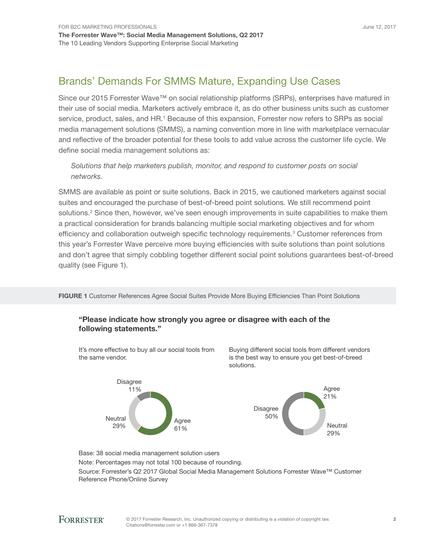Since our 2015 Forrester Wave™ on social relationship platforms (SRPs), enterprises have matured in their use of social media. Marketers actively embrace it, as do other business units such as customer service, product, sales, and HR.<sup>1</sup> Because of this expansion, Forrester now refers to SRPs as social media management solutions (SMMS), a naming convention more in line with marketplace vernacular and reflective of the broader potential for these tools to add value across the customer life cycle. We define social media management solutions as:

*Solutions that help marketers publish, monitor, and respond to customer posts on social networks.*

SMMS are available as point or suite solutions. Back in 2015, we cautioned marketers against social suites and encouraged the purchase of best-of-breed point solutions. We still recommend point solutions.<sup>2</sup> Since then, however, we've seen enough improvements in suite capabilities to make them a practical consideration for brands balancing multiple social marketing objectives and for whom efficiency and collaboration outweigh specific technology requirements.<sup>3</sup> Customer references from this year's Forrester Wave perceive more buying efficiencies with suite solutions than point solutions and don't agree that simply cobbling together different social point solutions guarantees best-of-breed quality (see Figure 1).

FIGURE 1 Customer References Agree Social Suites Provide More Buying Efficiencies Than Point Solutions

### "Please indicate how strongly you agree or disagree with each of the following statements."

It's more effective to buy all our social tools from the same vendor.



Buying different social tools from different vendors is the best way to ensure you get best-of-breed solutions.



Base: 38 social media management solution users

Note: Percentages may not total 100 because of rounding.

Source: Forrester's Q2 2017 Global Social Media Management Solutions Forrester Wave™ Customer Reference Phone/Online Survey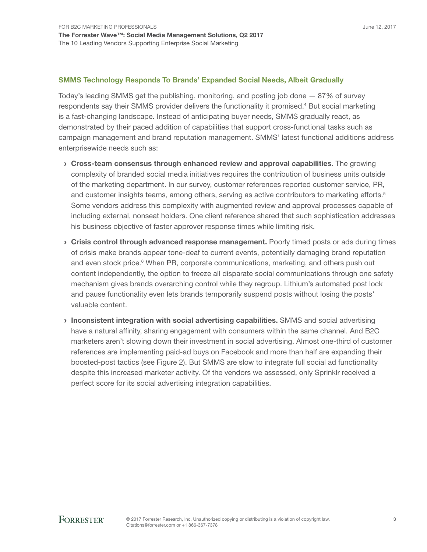#### SMMS Technology Responds To Brands' Expanded Social Needs, Albeit Gradually

Today's leading SMMS get the publishing, monitoring, and posting job done — 87% of survey respondents say their SMMS provider delivers the functionality it promised.<sup>4</sup> But social marketing is a fast-changing landscape. Instead of anticipating buyer needs, SMMS gradually react, as demonstrated by their paced addition of capabilities that support cross-functional tasks such as campaign management and brand reputation management. SMMS' latest functional additions address enterprisewide needs such as:

- › Cross-team consensus through enhanced review and approval capabilities. The growing complexity of branded social media initiatives requires the contribution of business units outside of the marketing department. In our survey, customer references reported customer service, PR, and customer insights teams, among others, serving as active contributors to marketing efforts.<sup>5</sup> Some vendors address this complexity with augmented review and approval processes capable of including external, nonseat holders. One client reference shared that such sophistication addresses his business objective of faster approver response times while limiting risk.
- **Crisis control through advanced response management.** Poorly timed posts or ads during times of crisis make brands appear tone-deaf to current events, potentially damaging brand reputation and even stock price.<sup>6</sup> When PR, corporate communications, marketing, and others push out content independently, the option to freeze all disparate social communications through one safety mechanism gives brands overarching control while they regroup. Lithium's automated post lock and pause functionality even lets brands temporarily suspend posts without losing the posts' valuable content.
- › Inconsistent integration with social advertising capabilities. SMMS and social advertising have a natural affinity, sharing engagement with consumers within the same channel. And B2C marketers aren't slowing down their investment in social advertising. Almost one-third of customer references are implementing paid-ad buys on Facebook and more than half are expanding their boosted-post tactics (see Figure 2). But SMMS are slow to integrate full social ad functionality despite this increased marketer activity. Of the vendors we assessed, only Sprinklr received a perfect score for its social advertising integration capabilities.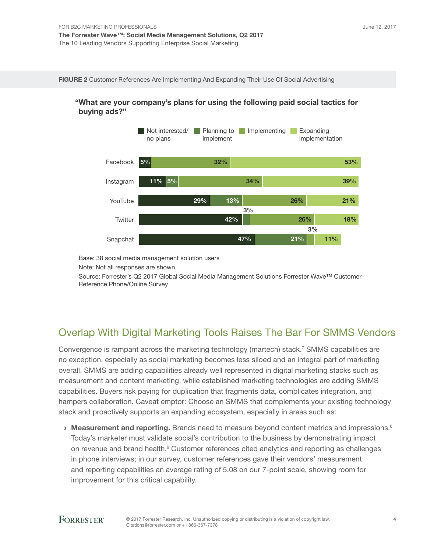FIGURE 2 Customer References Are Implementing And Expanding Their Use Of Social Advertising





Base: 38 social media management solution users

Note: Not all responses are shown.

Source: Forrester's Q2 2017 Global Social Media Management Solutions Forrester Wave™ Customer Reference Phone/Online Survey

## Overlap With Digital Marketing Tools Raises The Bar For SMMS Vendors

Convergence is rampant across the marketing technology (martech) stack.<sup>7</sup> SMMS capabilities are no exception, especially as social marketing becomes less siloed and an integral part of marketing overall. SMMS are adding capabilities already well represented in digital marketing stacks such as measurement and content marketing, while established marketing technologies are adding SMMS capabilities. Buyers risk paying for duplication that fragments data, complicates integration, and hampers collaboration. Caveat emptor: Choose an SMMS that complements your existing technology stack and proactively supports an expanding ecosystem, especially in areas such as:

 $\rightarrow$  Measurement and reporting. Brands need to measure beyond content metrics and impressions.<sup>8</sup> Today's marketer must validate social's contribution to the business by demonstrating impact on revenue and brand health.<sup>9</sup> Customer references cited analytics and reporting as challenges in phone interviews; in our survey, customer references gave their vendors' measurement and reporting capabilities an average rating of 5.08 on our 7-point scale, showing room for improvement for this critical capability.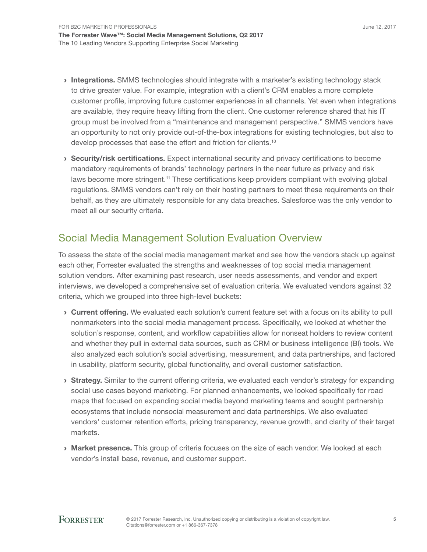- **Integrations.** SMMS technologies should integrate with a marketer's existing technology stack to drive greater value. For example, integration with a client's CRM enables a more complete customer profile, improving future customer experiences in all channels. Yet even when integrations are available, they require heavy lifting from the client. One customer reference shared that his IT group must be involved from a "maintenance and management perspective." SMMS vendors have an opportunity to not only provide out-of-the-box integrations for existing technologies, but also to develop processes that ease the effort and friction for clients.<sup>10</sup>
- › Security/risk certifications. Expect international security and privacy certifications to become mandatory requirements of brands' technology partners in the near future as privacy and risk laws become more stringent.<sup>11</sup> These certifications keep providers compliant with evolving global regulations. SMMS vendors can't rely on their hosting partners to meet these requirements on their behalf, as they are ultimately responsible for any data breaches. Salesforce was the only vendor to meet all our security criteria.

## Social Media Management Solution Evaluation Overview

To assess the state of the social media management market and see how the vendors stack up against each other, Forrester evaluated the strengths and weaknesses of top social media management solution vendors. After examining past research, user needs assessments, and vendor and expert interviews, we developed a comprehensive set of evaluation criteria. We evaluated vendors against 32 criteria, which we grouped into three high-level buckets:

- › Current offering. We evaluated each solution's current feature set with a focus on its ability to pull nonmarketers into the social media management process. Specifically, we looked at whether the solution's response, content, and workflow capabilities allow for nonseat holders to review content and whether they pull in external data sources, such as CRM or business intelligence (BI) tools. We also analyzed each solution's social advertising, measurement, and data partnerships, and factored in usability, platform security, global functionality, and overall customer satisfaction.
- **Strategy.** Similar to the current offering criteria, we evaluated each vendor's strategy for expanding social use cases beyond marketing. For planned enhancements, we looked specifically for road maps that focused on expanding social media beyond marketing teams and sought partnership ecosystems that include nonsocial measurement and data partnerships. We also evaluated vendors' customer retention efforts, pricing transparency, revenue growth, and clarity of their target markets.
- **Market presence.** This group of criteria focuses on the size of each vendor. We looked at each vendor's install base, revenue, and customer support.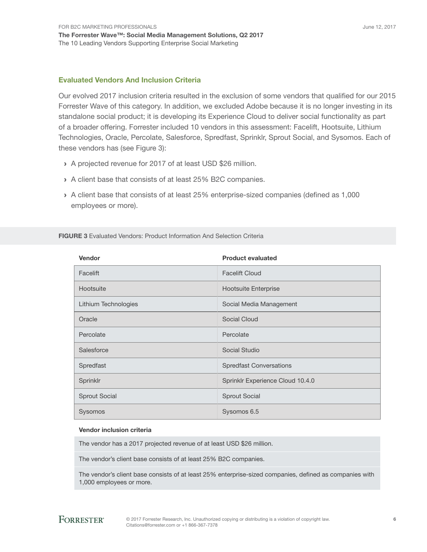### Evaluated Vendors And Inclusion Criteria

Our evolved 2017 inclusion criteria resulted in the exclusion of some vendors that qualified for our 2015 Forrester Wave of this category. In addition, we excluded Adobe because it is no longer investing in its standalone social product; it is developing its Experience Cloud to deliver social functionality as part of a broader offering. Forrester included 10 vendors in this assessment: Facelift, Hootsuite, Lithium Technologies, Oracle, Percolate, Salesforce, Spredfast, Sprinklr, Sprout Social, and Sysomos. Each of these vendors has (see Figure 3):

- › A projected revenue for 2017 of at least USD \$26 million.
- › A client base that consists of at least 25% B2C companies.
- › A client base that consists of at least 25% enterprise-sized companies (defined as 1,000 employees or more).

| Vendor               | <b>Product evaluated</b>         |
|----------------------|----------------------------------|
| Facelift             | <b>Facelift Cloud</b>            |
| Hootsuite            | <b>Hootsuite Enterprise</b>      |
| Lithium Technologies | Social Media Management          |
| Oracle               | Social Cloud                     |
| Percolate            | Percolate                        |
| Salesforce           | Social Studio                    |
| Spredfast            | <b>Spredfast Conversations</b>   |
| Sprinklr             | Sprinklr Experience Cloud 10.4.0 |
| <b>Sprout Social</b> | <b>Sprout Social</b>             |
| Sysomos              | Sysomos 6.5                      |

FIGURE 3 Evaluated Vendors: Product Information And Selection Criteria

#### Vendor inclusion criteria

The vendor has a 2017 projected revenue of at least USD \$26 million.

The vendor's client base consists of at least 25% B2C companies.

The vendor's client base consists of at least 25% enterprise-sized companies, defined as companies with 1,000 employees or more.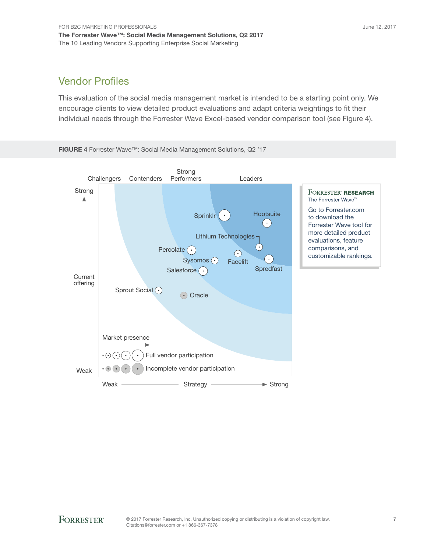## Vendor Profiles

This evaluation of the social media management market is intended to be a starting point only. We encourage clients to view detailed product evaluations and adapt criteria weightings to fit their individual needs through the Forrester Wave Excel-based vendor comparison tool (see Figure 4).

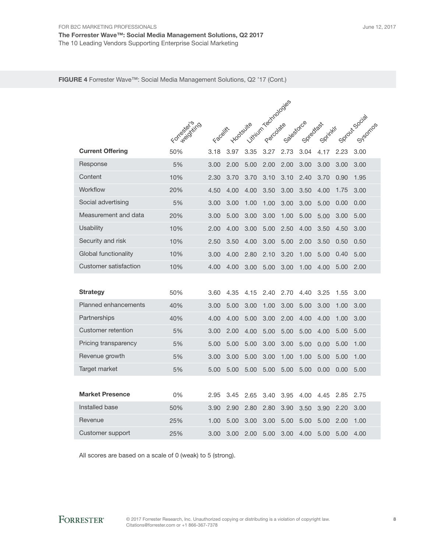FIGURE 4 Forrester Wave™: Social Media Management Solutions, Q2 '17 (Cont.)

|                             |              | itrium rectmologies |      |                  |      |            |           |         |      |                           |
|-----------------------------|--------------|---------------------|------|------------------|------|------------|-----------|---------|------|---------------------------|
|                             |              |                     |      |                  |      |            |           |         |      |                           |
|                             | Formedocinco | Faceliff            |      | <b>Hootsuite</b> |      | Salestorce | Sprediges | Sprinky |      | Sprozit Social<br>Sysomos |
| <b>Current Offering</b>     | 50%          | 3.18                | 3.97 | 3.35             | 3.27 | 2.73       | 3.04      | 4.17    | 2.23 | 3.00                      |
| Response                    | 5%           | 3.00                | 2.00 | 5.00             | 2.00 | 2.00       | 3.00      | 3.00    | 3.00 | 3.00                      |
| Content                     | 10%          | 2.30                | 3.70 | 3.70             | 3.10 | 3.10       | 2.40      | 3.70    | 0.90 | 1.95                      |
| Workflow                    | 20%          | 4.50                | 4.00 | 4.00             | 3.50 | 3.00       | 3.50      | 4.00    | 1.75 | 3.00                      |
| Social advertising          | 5%           | 3.00                | 3.00 | 1.00             | 1.00 | 3.00       | 3.00      | 5.00    | 0.00 | 0.00                      |
| Measurement and data        | 20%          | 3.00                | 5.00 | 3.00             | 3.00 | 1.00       | 5.00      | 5.00    | 3.00 | 5.00                      |
| Usability                   | 10%          | 2.00                | 4.00 | 3.00             | 5.00 | 2.50       | 4.00      | 3.50    | 4.50 | 3.00                      |
| Security and risk           | 10%          | 2.50                | 3.50 | 4.00             | 3.00 | 5.00       | 2.00      | 3.50    | 0.50 | 0.50                      |
| Global functionality        | 10%          | 3.00                | 4.00 | 2.80             | 2.10 | 3.20       | 1.00      | 5.00    | 0.40 | 5.00                      |
| Customer satisfaction       | 10%          | 4.00                | 4.00 | 3.00             | 5.00 | 3.00       | 1.00      | 4.00    | 5.00 | 2.00                      |
|                             |              |                     |      |                  |      |            |           |         |      |                           |
| <b>Strategy</b>             | 50%          | 3.60                | 4.35 | 4.15             | 2.40 | 2.70       | 4.40      | 3.25    | 1.55 | 3.00                      |
| <b>Planned enhancements</b> | 40%          | 3.00                | 5.00 | 3.00             | 1.00 | 3.00       | 5.00      | 3.00    | 1.00 | 3.00                      |
| Partnerships                | 40%          | 4.00                | 4.00 | 5.00             | 3.00 | 2.00       | 4.00      | 4.00    | 1.00 | 3.00                      |
| Customer retention          | 5%           | 3.00                | 2.00 | 4.00             | 5.00 | 5.00       | 5.00      | 4.00    | 5.00 | 5.00                      |
| Pricing transparency        | 5%           | 5.00                | 5.00 | 5.00             | 3.00 | 3.00       | 5.00      | 0.00    | 5.00 | 1.00                      |
| Revenue growth              | 5%           | 3.00                | 3.00 | 5.00             | 3.00 | 1.00       | 1.00      | 5.00    | 5.00 | 1.00                      |
| Target market               | 5%           | 5.00                | 5.00 | 5.00             | 5.00 | 5.00       | 5.00      | 0.00    | 0.00 | 5.00                      |
|                             |              |                     |      |                  |      |            |           |         |      |                           |
| <b>Market Presence</b>      | 0%           | 2.95                | 3.45 | 2.65             | 3.40 | 3.95       | 4.00      | 4.45    | 2.85 | 2.75                      |
| Installed base              | 50%          | 3.90                | 2.90 | 2.80             | 2.80 | 3.90       | 3.50      | 3.90    | 2.20 | 3.00                      |
| Revenue                     | 25%          | 1.00                | 5.00 | 3.00             | 3.00 | 5.00       | 5.00      | 5.00    | 2.00 | 1.00                      |
| Customer support            | 25%          | 3.00                | 3.00 | 2.00             | 5.00 | 3.00       | 4.00      | 5.00    | 5.00 | 4.00                      |

All scores are based on a scale of 0 (weak) to 5 (strong).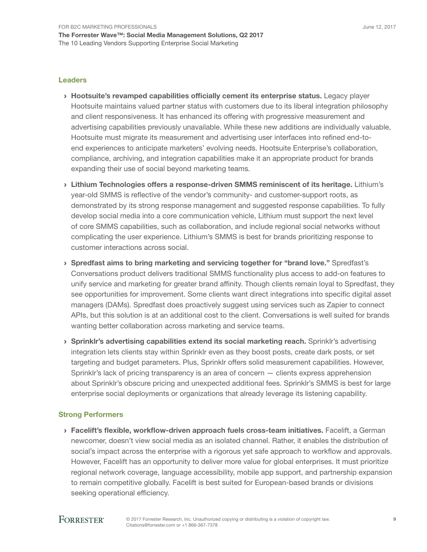#### Leaders

- › Hootsuite's revamped capabilities officially cement its enterprise status. Legacy player Hootsuite maintains valued partner status with customers due to its liberal integration philosophy and client responsiveness. It has enhanced its offering with progressive measurement and advertising capabilities previously unavailable. While these new additions are individually valuable, Hootsuite must migrate its measurement and advertising user interfaces into refined end-toend experiences to anticipate marketers' evolving needs. Hootsuite Enterprise's collaboration, compliance, archiving, and integration capabilities make it an appropriate product for brands expanding their use of social beyond marketing teams.
- › Lithium Technologies offers a response-driven SMMS reminiscent of its heritage. Lithium's year-old SMMS is reflective of the vendor's community- and customer-support roots, as demonstrated by its strong response management and suggested response capabilities. To fully develop social media into a core communication vehicle, Lithium must support the next level of core SMMS capabilities, such as collaboration, and include regional social networks without complicating the user experience. Lithium's SMMS is best for brands prioritizing response to customer interactions across social.
- › Spredfast aims to bring marketing and servicing together for "brand love." Spredfast's Conversations product delivers traditional SMMS functionality plus access to add-on features to unify service and marketing for greater brand affinity. Though clients remain loyal to Spredfast, they see opportunities for improvement. Some clients want direct integrations into specific digital asset managers (DAMs). Spredfast does proactively suggest using services such as Zapier to connect APIs, but this solution is at an additional cost to the client. Conversations is well suited for brands wanting better collaboration across marketing and service teams.
- › Sprinklr's advertising capabilities extend its social marketing reach. Sprinklr's advertising integration lets clients stay within Sprinklr even as they boost posts, create dark posts, or set targeting and budget parameters. Plus, Sprinklr offers solid measurement capabilities. However, Sprinklr's lack of pricing transparency is an area of concern — clients express apprehension about Sprinklr's obscure pricing and unexpected additional fees. Sprinklr's SMMS is best for large enterprise social deployments or organizations that already leverage its listening capability.

### Strong Performers

› Facelift's flexible, workflow-driven approach fuels cross-team initiatives. Facelift, a German newcomer, doesn't view social media as an isolated channel. Rather, it enables the distribution of social's impact across the enterprise with a rigorous yet safe approach to workflow and approvals. However, Facelift has an opportunity to deliver more value for global enterprises. It must prioritize regional network coverage, language accessibility, mobile app support, and partnership expansion to remain competitive globally. Facelift is best suited for European-based brands or divisions seeking operational efficiency.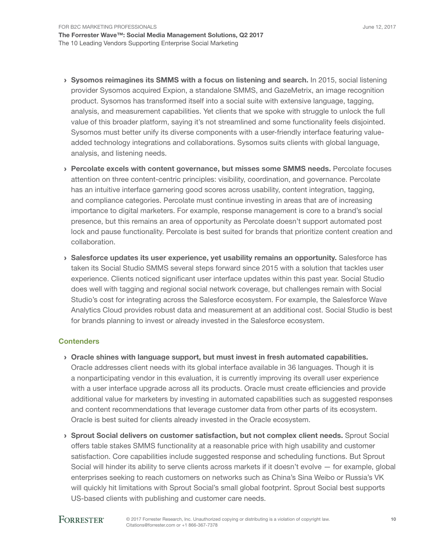- › Sysomos reimagines its SMMS with a focus on listening and search. In 2015, social listening provider Sysomos acquired Expion, a standalone SMMS, and GazeMetrix, an image recognition product. Sysomos has transformed itself into a social suite with extensive language, tagging, analysis, and measurement capabilities. Yet clients that we spoke with struggle to unlock the full value of this broader platform, saying it's not streamlined and some functionality feels disjointed. Sysomos must better unify its diverse components with a user-friendly interface featuring valueadded technology integrations and collaborations. Sysomos suits clients with global language, analysis, and listening needs.
- › Percolate excels with content governance, but misses some SMMS needs. Percolate focuses attention on three content-centric principles: visibility, coordination, and governance. Percolate has an intuitive interface garnering good scores across usability, content integration, tagging, and compliance categories. Percolate must continue investing in areas that are of increasing importance to digital marketers. For example, response management is core to a brand's social presence, but this remains an area of opportunity as Percolate doesn't support automated post lock and pause functionality. Percolate is best suited for brands that prioritize content creation and collaboration.
- › Salesforce updates its user experience, yet usability remains an opportunity. Salesforce has taken its Social Studio SMMS several steps forward since 2015 with a solution that tackles user experience. Clients noticed significant user interface updates within this past year. Social Studio does well with tagging and regional social network coverage, but challenges remain with Social Studio's cost for integrating across the Salesforce ecosystem. For example, the Salesforce Wave Analytics Cloud provides robust data and measurement at an additional cost. Social Studio is best for brands planning to invest or already invested in the Salesforce ecosystem.

### **Contenders**

- › Oracle shines with language support, but must invest in fresh automated capabilities. Oracle addresses client needs with its global interface available in 36 languages. Though it is a nonparticipating vendor in this evaluation, it is currently improving its overall user experience with a user interface upgrade across all its products. Oracle must create efficiencies and provide additional value for marketers by investing in automated capabilities such as suggested responses and content recommendations that leverage customer data from other parts of its ecosystem. Oracle is best suited for clients already invested in the Oracle ecosystem.
- › Sprout Social delivers on customer satisfaction, but not complex client needs. Sprout Social offers table stakes SMMS functionality at a reasonable price with high usability and customer satisfaction. Core capabilities include suggested response and scheduling functions. But Sprout Social will hinder its ability to serve clients across markets if it doesn't evolve — for example, global enterprises seeking to reach customers on networks such as China's Sina Weibo or Russia's VK will quickly hit limitations with Sprout Social's small global footprint. Sprout Social best supports US-based clients with publishing and customer care needs.

### **FORRESTER®**

10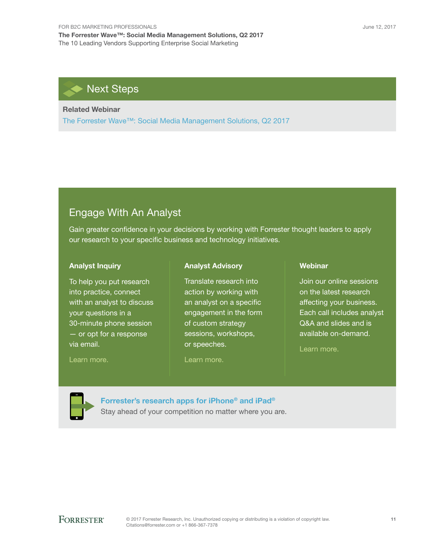## Next Steps

### Related Webinar

[The Forrester Wave™: Social Media Management Solutions, Q2 2017](https://www.forrester.com/go?objectid=WEB23806)

### Engage With An Analyst

Gain greater confidence in your decisions by working with Forrester thought leaders to apply our research to your specific business and technology initiatives.

#### Analyst Inquiry

To help you put research into practice, connect with an analyst to discuss your questions in a 30-minute phone session — or opt for a response via email.

[Learn more.](http://forr.com/1einFan)

#### Analyst Advisory

Translate research into action by working with an analyst on a specific engagement in the form of custom strategy sessions, workshops, or speeches.

[Learn more.](http://www.forrester.com/Analyst-Advisory/-/E-MPL172)

#### Webinar

Join our online sessions on the latest research affecting your business. Each call includes analyst Q&A and slides and is available on-demand.

[Learn more](https://www.forrester.com/events?N=10006+5025).



[Forrester's research apps for iPhone® and iPad®](https://go.forrester.com/apps/)

Stay ahead of your competition no matter where you are.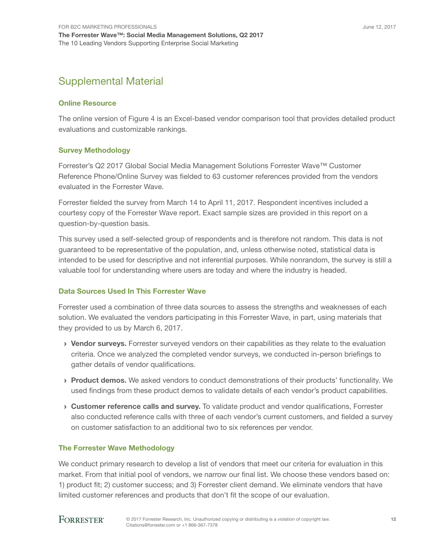## Supplemental Material

### Online Resource

The online version of Figure 4 is an Excel-based vendor comparison tool that provides detailed product evaluations and customizable rankings.

### Survey Methodology

Forrester's Q2 2017 Global Social Media Management Solutions Forrester Wave™ Customer Reference Phone/Online Survey was fielded to 63 customer references provided from the vendors evaluated in the Forrester Wave.

Forrester fielded the survey from March 14 to April 11, 2017. Respondent incentives included a courtesy copy of the Forrester Wave report. Exact sample sizes are provided in this report on a question-by-question basis.

This survey used a self-selected group of respondents and is therefore not random. This data is not guaranteed to be representative of the population, and, unless otherwise noted, statistical data is intended to be used for descriptive and not inferential purposes. While nonrandom, the survey is still a valuable tool for understanding where users are today and where the industry is headed.

### Data Sources Used In This Forrester Wave

Forrester used a combination of three data sources to assess the strengths and weaknesses of each solution. We evaluated the vendors participating in this Forrester Wave, in part, using materials that they provided to us by March 6, 2017.

- › Vendor surveys. Forrester surveyed vendors on their capabilities as they relate to the evaluation criteria. Once we analyzed the completed vendor surveys, we conducted in-person briefings to gather details of vendor qualifications.
- › Product demos. We asked vendors to conduct demonstrations of their products' functionality. We used findings from these product demos to validate details of each vendor's product capabilities.
- › Customer reference calls and survey. To validate product and vendor qualifications, Forrester also conducted reference calls with three of each vendor's current customers, and fielded a survey on customer satisfaction to an additional two to six references per vendor.

### The Forrester Wave Methodology

We conduct primary research to develop a list of vendors that meet our criteria for evaluation in this market. From that initial pool of vendors, we narrow our final list. We choose these vendors based on: 1) product fit; 2) customer success; and 3) Forrester client demand. We eliminate vendors that have limited customer references and products that don't fit the scope of our evaluation.

### **FORRESTER®**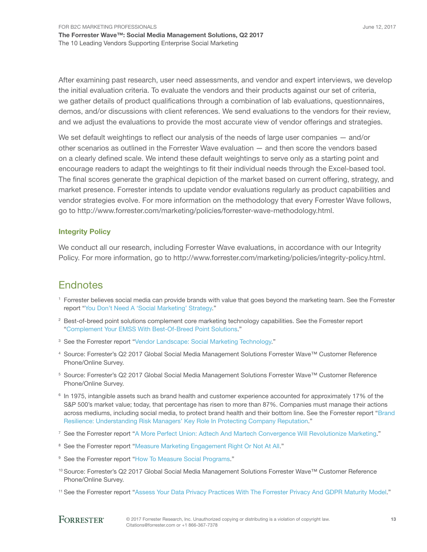After examining past research, user need assessments, and vendor and expert interviews, we develop the initial evaluation criteria. To evaluate the vendors and their products against our set of criteria, we gather details of product qualifications through a combination of lab evaluations, questionnaires, demos, and/or discussions with client references. We send evaluations to the vendors for their review, and we adjust the evaluations to provide the most accurate view of vendor offerings and strategies.

We set default weightings to reflect our analysis of the needs of large user companies  $-$  and/or other scenarios as outlined in the Forrester Wave evaluation — and then score the vendors based on a clearly defined scale. We intend these default weightings to serve only as a starting point and encourage readers to adapt the weightings to fit their individual needs through the Excel-based tool. The final scores generate the graphical depiction of the market based on current offering, strategy, and market presence. Forrester intends to update vendor evaluations regularly as product capabilities and vendor strategies evolve. For more information on the methodology that every Forrester Wave follows, go to http://www.forrester.com/marketing/policies/forrester-wave-methodology.html.

### Integrity Policy

We conduct all our research, including Forrester Wave evaluations, in accordance with our Integrity Policy. For more information, go to http://www.forrester.com/marketing/policies/integrity-policy.html.

### **Endnotes**

- <sup>1</sup> Forrester believes social media can provide brands with value that goes beyond the marketing team. See the Forrester report "[You Don't Need A 'Social Marketing' Strategy.](http://www.forrester.com/go?objectid=RES133541)"
- <sup>2</sup> Best-of-breed point solutions complement core marketing technology capabilities. See the Forrester report ["Complement Your EMSS With Best-Of-Breed Point Solutions.](http://www.forrester.com/go?objectid=RES132321)"
- <sup>3</sup> See the Forrester report "[Vendor Landscape: Social Marketing Technology](http://www.forrester.com/go?objectid=RES133605)."
- 4 Source: Forrester's Q2 2017 Global Social Media Management Solutions Forrester Wave™ Customer Reference Phone/Online Survey.
- 5 Source: Forrester's Q2 2017 Global Social Media Management Solutions Forrester Wave™ Customer Reference Phone/Online Survey.
- 6 In 1975, intangible assets such as brand health and customer experience accounted for approximately 17% of the S&P 500's market value; today, that percentage has risen to more than 87%. Companies must manage their actions across mediums, including social media, to protect brand health and their bottom line. See the Forrester report "Brand [Resilience: Understanding Risk Managers' Key Role In Protecting Company Reputation.](http://www.forrester.com/go?objectid=RES117862)"
- 7 See the Forrester report "[A More Perfect Union: Adtech And Martech Convergence Will Revolutionize Marketing.](http://www.forrester.com/go?objectid=RES135282)"
- <sup>8</sup> See the Forrester report "[Measure Marketing Engagement Right Or Not At All.](http://www.forrester.com/go?objectid=RES117525)"
- <sup>9</sup> See the Forrester report "[How To Measure Social Programs.](http://www.forrester.com/go?objectid=RES133590)"
- 10 Source: Forrester's Q2 2017 Global Social Media Management Solutions Forrester Wave™ Customer Reference Phone/Online Survey.
- 11 See the Forrester report "[Assess Your Data Privacy Practices With The Forrester Privacy And GDPR Maturity Model](http://www.forrester.com/go?objectid=RES122836)."